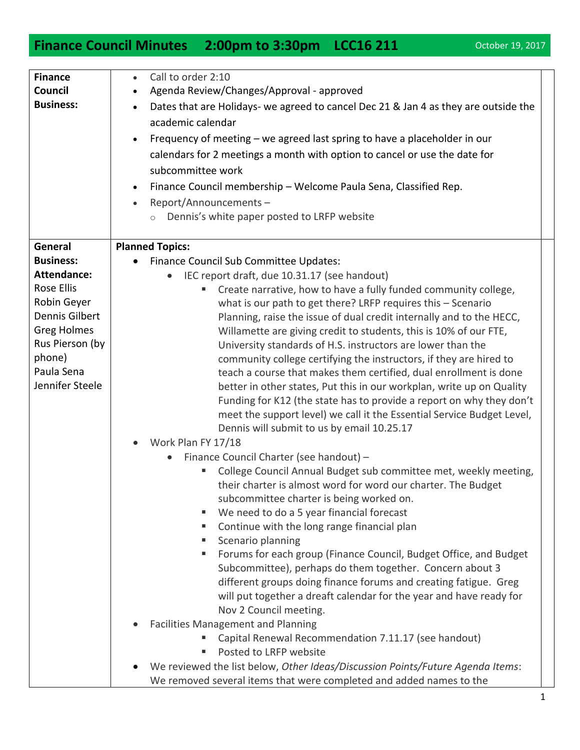## **Finance Council Minutes 2:00pm to 3:30pm LCC16 211** October 19, 2017

| <b>Finance</b>     | Call to order 2:10                                                                     |
|--------------------|----------------------------------------------------------------------------------------|
| Council            | Agenda Review/Changes/Approval - approved                                              |
| <b>Business:</b>   | Dates that are Holidays- we agreed to cancel Dec 21 & Jan 4 as they are outside the    |
|                    | academic calendar                                                                      |
|                    | Frequency of meeting – we agreed last spring to have a placeholder in our<br>$\bullet$ |
|                    | calendars for 2 meetings a month with option to cancel or use the date for             |
|                    | subcommittee work                                                                      |
|                    |                                                                                        |
|                    | Finance Council membership - Welcome Paula Sena, Classified Rep.<br>$\bullet$          |
|                    | Report/Announcements-                                                                  |
|                    | Dennis's white paper posted to LRFP website<br>$\circ$                                 |
|                    |                                                                                        |
| General            | <b>Planned Topics:</b>                                                                 |
| <b>Business:</b>   | Finance Council Sub Committee Updates:<br>$\bullet$                                    |
| <b>Attendance:</b> | IEC report draft, due 10.31.17 (see handout)                                           |
| Rose Ellis         | Create narrative, how to have a fully funded community college,                        |
| Robin Geyer        | what is our path to get there? LRFP requires this - Scenario                           |
| Dennis Gilbert     | Planning, raise the issue of dual credit internally and to the HECC,                   |
| <b>Greg Holmes</b> | Willamette are giving credit to students, this is 10% of our FTE,                      |
| Rus Pierson (by    | University standards of H.S. instructors are lower than the                            |
| phone)             | community college certifying the instructors, if they are hired to                     |
| Paula Sena         | teach a course that makes them certified, dual enrollment is done                      |
| Jennifer Steele    | better in other states, Put this in our workplan, write up on Quality                  |
|                    | Funding for K12 (the state has to provide a report on why they don't                   |
|                    | meet the support level) we call it the Essential Service Budget Level,                 |
|                    | Dennis will submit to us by email 10.25.17                                             |
|                    | Work Plan FY 17/18<br>$\bullet$                                                        |
|                    | Finance Council Charter (see handout) -<br>$\bullet$                                   |
|                    | College Council Annual Budget sub committee met, weekly meeting,                       |
|                    | their charter is almost word for word our charter. The Budget                          |
|                    | subcommittee charter is being worked on.                                               |
|                    | We need to do a 5 year financial forecast                                              |
|                    | Continue with the long range financial plan<br>ш                                       |
|                    | Scenario planning<br>a.                                                                |
|                    | Forums for each group (Finance Council, Budget Office, and Budget<br>ш                 |
|                    | Subcommittee), perhaps do them together. Concern about 3                               |
|                    | different groups doing finance forums and creating fatigue. Greg                       |
|                    | will put together a dreaft calendar for the year and have ready for                    |
|                    | Nov 2 Council meeting.                                                                 |
|                    | <b>Facilities Management and Planning</b>                                              |
|                    | Capital Renewal Recommendation 7.11.17 (see handout)                                   |
|                    | Posted to LRFP website                                                                 |
|                    | We reviewed the list below, Other Ideas/Discussion Points/Future Agenda Items:         |
|                    | We removed several items that were completed and added names to the                    |